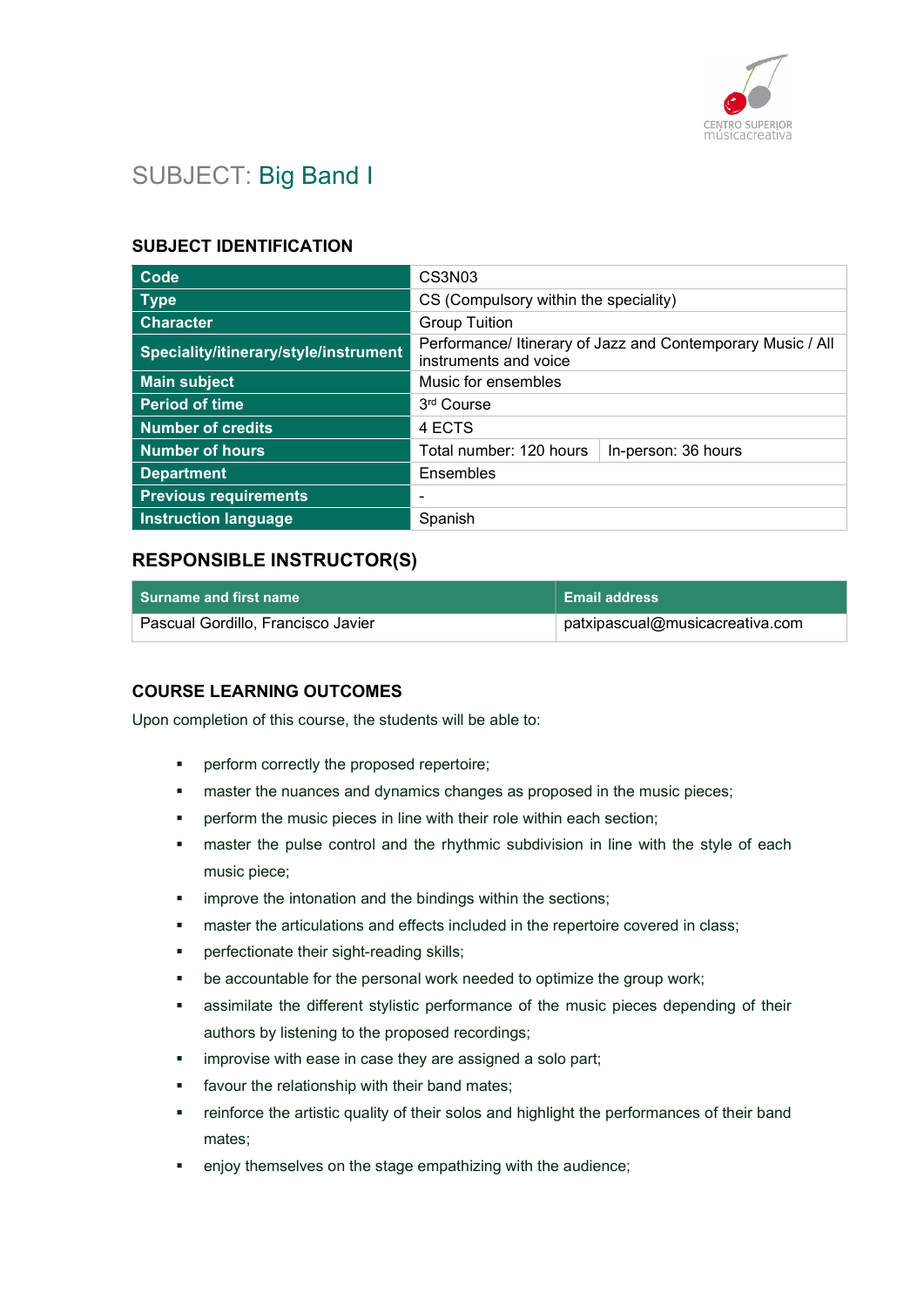

# SUBJECT: Big Band I

### SUBJECT IDENTIFICATION

| Code                                  | CS3N <sub>03</sub>                                                                   |  |
|---------------------------------------|--------------------------------------------------------------------------------------|--|
| <b>Type</b>                           | CS (Compulsory within the speciality)                                                |  |
| <b>Character</b>                      | <b>Group Tuition</b>                                                                 |  |
| Speciality/itinerary/style/instrument | Performance/ Itinerary of Jazz and Contemporary Music / All<br>instruments and voice |  |
| <b>Main subject</b>                   | Music for ensembles                                                                  |  |
| <b>Period of time</b>                 | 3rd Course                                                                           |  |
| <b>Number of credits</b>              | 4 ECTS                                                                               |  |
| <b>Number of hours</b>                | Total number: 120 hours<br>In-person: 36 hours                                       |  |
| <b>Department</b>                     | Ensembles                                                                            |  |
| <b>Previous requirements</b>          | ۰                                                                                    |  |
| <b>Instruction language</b>           | Spanish                                                                              |  |

## RESPONSIBLE INSTRUCTOR(S)

| Surname and first name             | <b>Email address</b> |
|------------------------------------|----------------------|
| Pascual Gordillo, Francisco Javier |                      |

## COURSE LEARNING OUTCOMES

Upon completion of this course, the students will be able to:

- perform correctly the proposed repertoire;
- **EXECT** master the nuances and dynamics changes as proposed in the music pieces;
- perform the music pieces in line with their role within each section;
- master the pulse control and the rhythmic subdivision in line with the style of each music piece;
- improve the intonation and the bindings within the sections;
- master the articulations and effects included in the repertoire covered in class;
- **•** perfectionate their sight-reading skills;
- be accountable for the personal work needed to optimize the group work;
- assimilate the different stylistic performance of the music pieces depending of their authors by listening to the proposed recordings;
- improvise with ease in case they are assigned a solo part;
- favour the relationship with their band mates;
- **•** reinforce the artistic quality of their solos and highlight the performances of their band mates;
- enjoy themselves on the stage empathizing with the audience;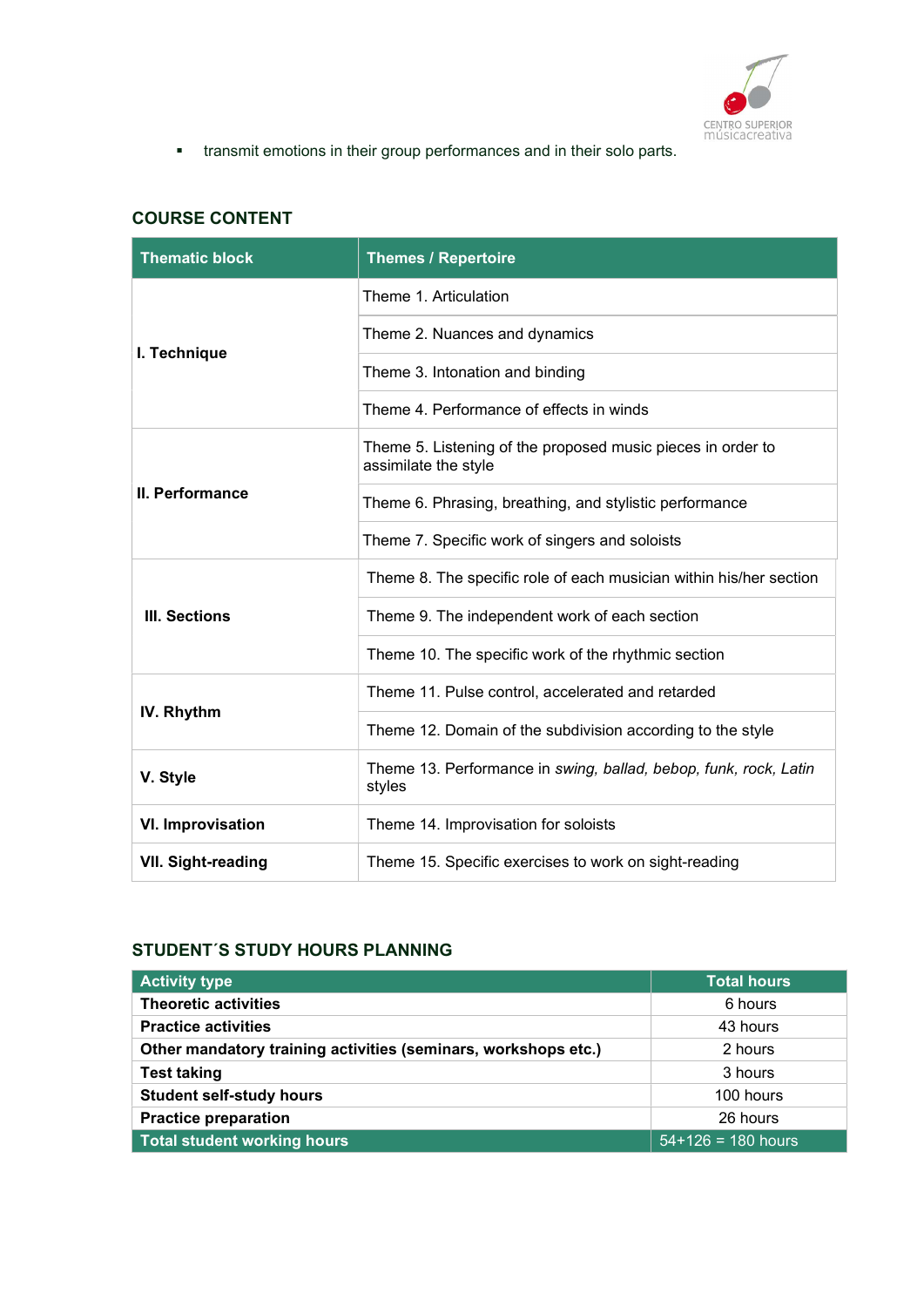

transmit emotions in their group performances and in their solo parts.

## COURSE CONTENT

| <b>Thematic block</b>    | <b>Themes / Repertoire</b>                                                          |
|--------------------------|-------------------------------------------------------------------------------------|
|                          | Theme 1. Articulation                                                               |
|                          | Theme 2. Nuances and dynamics                                                       |
| I. Technique             | Theme 3. Intonation and binding                                                     |
|                          | Theme 4. Performance of effects in winds                                            |
|                          | Theme 5. Listening of the proposed music pieces in order to<br>assimilate the style |
| II. Performance          | Theme 6. Phrasing, breathing, and stylistic performance                             |
|                          | Theme 7. Specific work of singers and soloists                                      |
|                          | Theme 8. The specific role of each musician within his/her section                  |
| <b>III. Sections</b>     | Theme 9. The independent work of each section                                       |
|                          | Theme 10. The specific work of the rhythmic section                                 |
|                          | Theme 11. Pulse control, accelerated and retarded                                   |
| IV. Rhythm               | Theme 12. Domain of the subdivision according to the style                          |
| V. Style                 | Theme 13. Performance in swing, ballad, bebop, funk, rock, Latin<br>styles          |
| <b>VI. Improvisation</b> | Theme 14. Improvisation for soloists                                                |
| VII. Sight-reading       | Theme 15. Specific exercises to work on sight-reading                               |

## STUDENT´S STUDY HOURS PLANNING

| <b>Activity type</b>                                           | <b>Total hours</b>   |
|----------------------------------------------------------------|----------------------|
| <b>Theoretic activities</b>                                    | 6 hours              |
| <b>Practice activities</b>                                     | 43 hours             |
| Other mandatory training activities (seminars, workshops etc.) | 2 hours              |
| <b>Test taking</b>                                             | 3 hours              |
| <b>Student self-study hours</b>                                | 100 hours            |
| <b>Practice preparation</b>                                    | 26 hours             |
| <b>Total student working hours</b>                             | $54+126 = 180$ hours |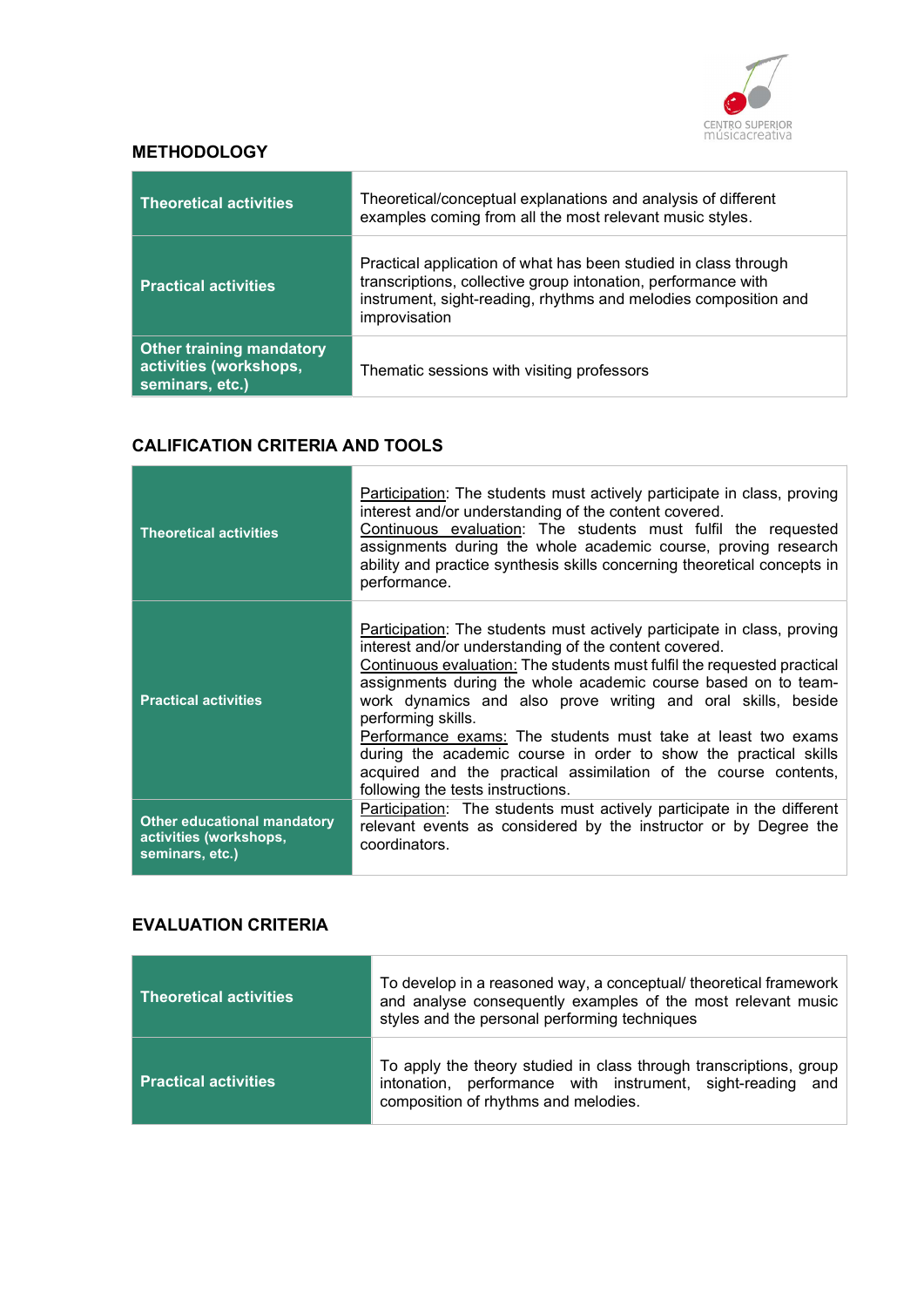

## **METHODOLOGY**

| <b>Theoretical activities</b>                                                | Theoretical/conceptual explanations and analysis of different<br>examples coming from all the most relevant music styles.                                                                                            |
|------------------------------------------------------------------------------|----------------------------------------------------------------------------------------------------------------------------------------------------------------------------------------------------------------------|
| <b>Practical activities</b>                                                  | Practical application of what has been studied in class through<br>transcriptions, collective group intonation, performance with<br>instrument, sight-reading, rhythms and melodies composition and<br>improvisation |
| <b>Other training mandatory</b><br>activities (workshops,<br>seminars, etc.) | Thematic sessions with visiting professors                                                                                                                                                                           |

#### CALIFICATION CRITERIA AND TOOLS

| <b>Theoretical activities</b>                                                   | Participation: The students must actively participate in class, proving<br>interest and/or understanding of the content covered.<br>Continuous evaluation: The students must fulfil the requested<br>assignments during the whole academic course, proving research<br>ability and practice synthesis skills concerning theoretical concepts in<br>performance.                                                                                                                                                                                                                                                 |
|---------------------------------------------------------------------------------|-----------------------------------------------------------------------------------------------------------------------------------------------------------------------------------------------------------------------------------------------------------------------------------------------------------------------------------------------------------------------------------------------------------------------------------------------------------------------------------------------------------------------------------------------------------------------------------------------------------------|
| <b>Practical activities</b>                                                     | Participation: The students must actively participate in class, proving<br>interest and/or understanding of the content covered.<br>Continuous evaluation: The students must fulfil the requested practical<br>assignments during the whole academic course based on to team-<br>work dynamics and also prove writing and oral skills, beside<br>performing skills.<br>Performance exams: The students must take at least two exams<br>during the academic course in order to show the practical skills<br>acquired and the practical assimilation of the course contents,<br>following the tests instructions. |
| <b>Other educational mandatory</b><br>activities (workshops,<br>seminars, etc.) | <b>Participation:</b> The students must actively participate in the different<br>relevant events as considered by the instructor or by Degree the<br>coordinators.                                                                                                                                                                                                                                                                                                                                                                                                                                              |

#### EVALUATION CRITERIA

| <b>Theoretical activities</b> | To develop in a reasoned way, a conceptual/ theoretical framework<br>and analyse consequently examples of the most relevant music<br>styles and the personal performing techniques |
|-------------------------------|------------------------------------------------------------------------------------------------------------------------------------------------------------------------------------|
| <b>Practical activities</b>   | To apply the theory studied in class through transcriptions, group<br>intonation, performance with instrument, sight-reading<br>and<br>composition of rhythms and melodies.        |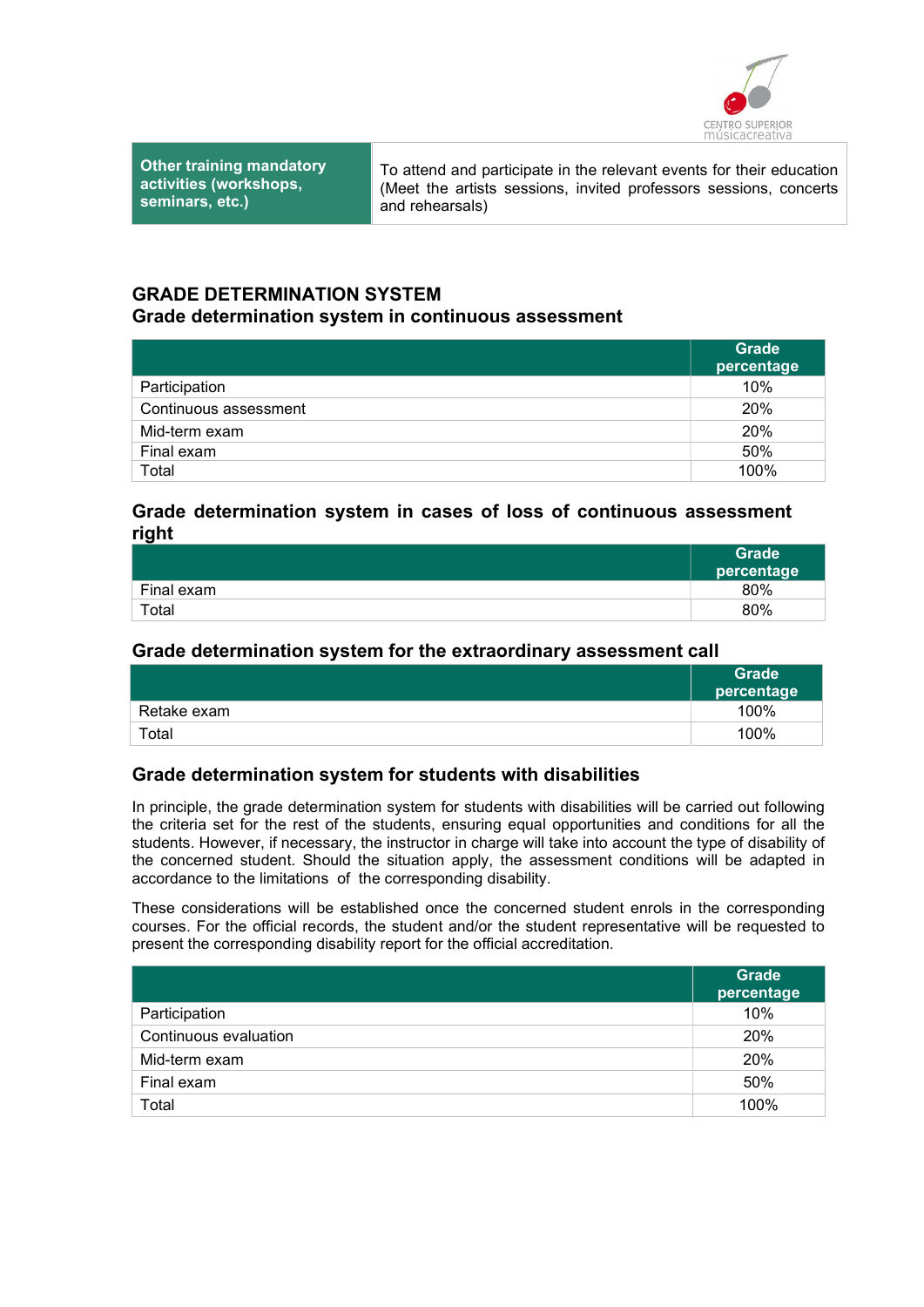

Other training mandatory activities (workshops, seminars, etc.)

To attend and participate in the relevant events for their education (Meet the artists sessions, invited professors sessions, concerts and rehearsals)

#### GRADE DETERMINATION SYSTEM

#### Grade determination system in continuous assessment

|                       | <b>Grade</b><br>percentage |
|-----------------------|----------------------------|
| Participation         | 10%                        |
| Continuous assessment | 20%                        |
| Mid-term exam         | 20%                        |
| Final exam            | 50%                        |
| Total                 | 100%                       |

### Grade determination system in cases of loss of continuous assessment right

|            | Grade<br>percentage |
|------------|---------------------|
| Final exam | 80%                 |
| Total      | 80%                 |

### Grade determination system for the extraordinary assessment call

|             | Grade<br>percentage |
|-------------|---------------------|
| Retake exam | 100%                |
| Total       | 100%                |

## Grade determination system for students with disabilities

In principle, the grade determination system for students with disabilities will be carried out following the criteria set for the rest of the students, ensuring equal opportunities and conditions for all the students. However, if necessary, the instructor in charge will take into account the type of disability of the concerned student. Should the situation apply, the assessment conditions will be adapted in accordance to the limitations of the corresponding disability.

These considerations will be established once the concerned student enrols in the corresponding courses. For the official records, the student and/or the student representative will be requested to present the corresponding disability report for the official accreditation.

|                       | <b>Grade</b><br>percentage |
|-----------------------|----------------------------|
| Participation         | 10%                        |
| Continuous evaluation | 20%                        |
| Mid-term exam         | 20%                        |
| Final exam            | 50%                        |
| Total                 | 100%                       |